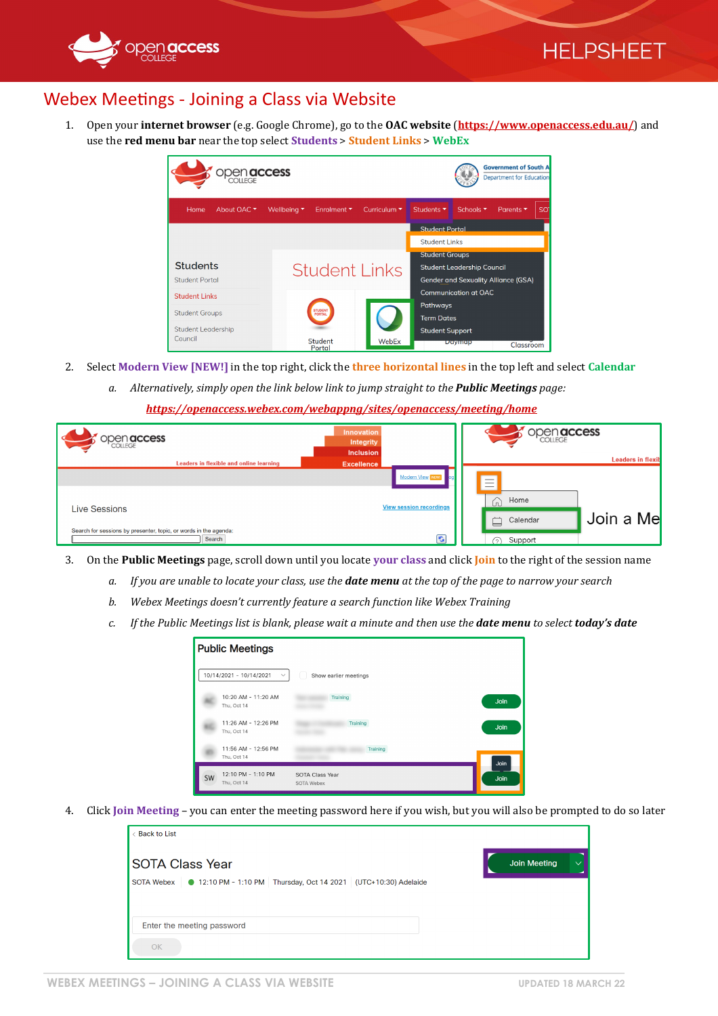

## Webex Meetings - Joining a Class via Website

1. Open your **internet browser** (e.g. Google Chrome), go to the **OAC website** (**<https://www.openaccess.edu.au/>**) and use the **red menu bar** near the top select **Students** > **Student Links** > **WebEx**

| OPen <b>access</b>                     |                                                                  |                                 |                                            | <b>Government of South A</b><br><b>Department for Education</b> |                              |    |  |
|----------------------------------------|------------------------------------------------------------------|---------------------------------|--------------------------------------------|-----------------------------------------------------------------|------------------------------|----|--|
| Home<br>About OAC $\blacktriangledown$ | Wellbeing $\blacktriangledown$<br>Enrolment $\blacktriangledown$ | Curriculum $\blacktriangledown$ | Students ▼                                 | Schools <b>v</b>                                                | Parents $\blacktriangledown$ | SO |  |
|                                        |                                                                  |                                 | <b>Student Portal</b>                      |                                                                 |                              |    |  |
|                                        |                                                                  |                                 | <b>Student Links</b>                       |                                                                 |                              |    |  |
|                                        |                                                                  |                                 | <b>Student Groups</b>                      |                                                                 |                              |    |  |
| <b>Students</b>                        |                                                                  | <b>Student Links</b>            |                                            | <b>Student Leadership Council</b>                               |                              |    |  |
| <b>Student Portal</b>                  |                                                                  |                                 | <b>Gender and Sexuality Alliance (GSA)</b> |                                                                 |                              |    |  |
| <b>Student Links</b>                   |                                                                  |                                 |                                            | <b>Communication at OAC</b>                                     |                              |    |  |
|                                        | <b>STUDENT</b>                                                   |                                 | Pathways                                   |                                                                 |                              |    |  |
| <b>Student Groups</b>                  | PORTAL                                                           |                                 | <b>Term Dates</b>                          |                                                                 |                              |    |  |
| <b>Student Leadership</b>              |                                                                  |                                 | <b>Student Support</b>                     |                                                                 |                              |    |  |
| Council                                | <b>Student</b><br>Portal                                         | WebEx                           |                                            | Daymap                                                          | Classroom                    |    |  |

- 2. Select **Modern View [NEW!]** in the top right, click the **three horizontal lines** in the top left and select **Calendar**
	- *a. Alternatively, simply open the link below link to jump straight to the Public Meetings page:*

*<https://openaccess.webex.com/webappng/sites/openaccess/meeting/home>*

| <b>open access</b>                                                         | Innovation<br>Integrity<br><b>Inclusion</b>              | <b>open access</b>                                                                                                          |
|----------------------------------------------------------------------------|----------------------------------------------------------|-----------------------------------------------------------------------------------------------------------------------------|
| Leaders in flexible and online learning                                    | <b>Excellence</b>                                        | <b>Leaders in flexil</b>                                                                                                    |
| <b>Live Sessions</b>                                                       | <b>Modern View NEW</b><br><b>View session recordings</b> | $\overline{\phantom{a}}$<br>$\overline{\phantom{a}}$<br>$\overline{\phantom{a}}$<br>Home<br>6<br>Join a Me<br>Calendar<br>₿ |
| Search for sessions by presenter, topic, or words in the agenda:<br>Search | $\bullet$                                                | Support<br>$\sim$                                                                                                           |

- 3. On the **Public Meetings** page, scroll down until you locate **your class** and click **Join** to the right of the session name
	- *a. If you are unable to locate your class, use the date menu at the top of the page to narrow your search*
	- *b. Webex Meetings doesn't currently feature a search function like Webex Training*
	- *c. If the Public Meetings list is blank, please wait a minute and then use the date menu to select today's date*

|    | <b>Public Meetings</b>                  |                               |      |
|----|-----------------------------------------|-------------------------------|------|
|    | 10/14/2021 - 10/14/2021<br>$\checkmark$ | Show earlier meetings         |      |
|    | 10:20 AM - 11:20 AM<br>Thu, Oct 14      | Training                      | Join |
|    | 11:26 AM - 12:26 PM<br>Thu, Oct 14      | Training                      | Join |
|    | 11:56 AM - 12:56 PM<br>Thu, Oct 14      | Training                      | Join |
| SW | 12:10 PM - 1:10 PM<br>Thu, Oct 14       | SOTA Class Year<br>SOTA Webex | Join |

4. Click **Join Meeting** – you can enter the meeting password here if you wish, but you will also be prompted to do so later

| < Back to List                                                               |              |
|------------------------------------------------------------------------------|--------------|
| <b>SOTA Class Year</b>                                                       | Join Meeting |
| SOTA Webex   ● 12:10 PM - 1:10 PM Thursday, Oct 14 2021 (UTC+10:30) Adelaide |              |
|                                                                              |              |
| Enter the meeting password                                                   |              |
| OK                                                                           |              |